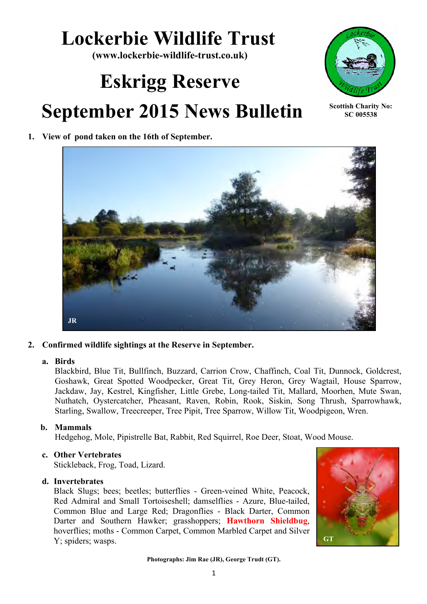## **Lockerbie Wildlife Trust**

**(www.lockerbie-wildlife-trust.co.uk)**

# **Eskrigg Reserve September 2015 News Bulletin**



**Scottish Charity No: SC 005538**

#### **1. View of pond taken on the 16th of September.**



#### **2. Confirmed wildlife sightings at the Reserve in September.**

#### **a. Birds**

Blackbird, Blue Tit, Bullfinch, Buzzard, Carrion Crow, Chaffinch, Coal Tit, Dunnock, Goldcrest, Goshawk, Great Spotted Woodpecker, Great Tit, Grey Heron, Grey Wagtail, House Sparrow, Jackdaw, Jay, Kestrel, Kingfisher, Little Grebe, Long-tailed Tit, Mallard, Moorhen, Mute Swan, Nuthatch, Oystercatcher, Pheasant, Raven, Robin, Rook, Siskin, Song Thrush, Sparrowhawk, Starling, Swallow, Treecreeper, Tree Pipit, Tree Sparrow, Willow Tit, Woodpigeon, Wren.

#### **b. Mammals**

Hedgehog, Mole, Pipistrelle Bat, Rabbit, Red Squirrel, Roe Deer, Stoat, Wood Mouse.

#### **c. Other Vertebrates**

Stickleback, Frog, Toad, Lizard.

#### **d. Invertebrates**

Black Slugs; bees; beetles; butterflies - Green-veined White, Peacock, Red Admiral and Small Tortoiseshell; damselflies - Azure, Blue-tailed, Common Blue and Large Red; Dragonflies - Black Darter, Common Darter and Southern Hawker; grasshoppers; **Hawthorn Shieldbug**, hoverflies; moths - Common Carpet, Common Marbled Carpet and Silver Y; spiders; wasps.



**Photographs: Jim Rae (JR), George Trudt (GT).**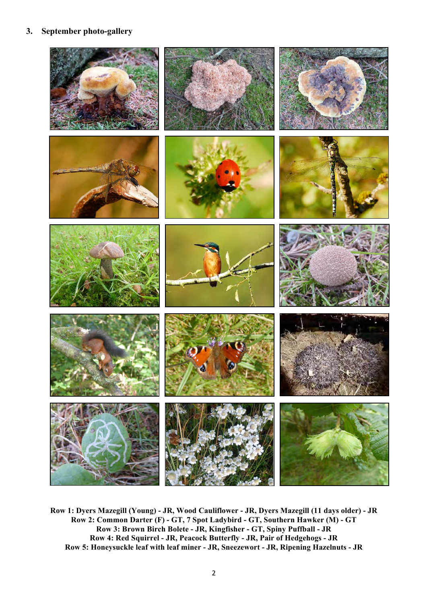#### **3. September photo-gallery**



**Row 1: Dyers Mazegill (Young) - JR, Wood Cauliflower - JR, Dyers Mazegill (11 days older) - JR Row 2: Common Darter (F) - GT, 7 Spot Ladybird - GT, Southern Hawker (M) - GT Row 3: Brown Birch Bolete - JR, Kingfisher - GT, Spiny Puffball - JR Row 4: Red Squirrel - JR, Peacock Butterfly - JR, Pair of Hedgehogs - JR Row 5: Honeysuckle leaf with leaf miner - JR, Sneezewort - JR, Ripening Hazelnuts - JR**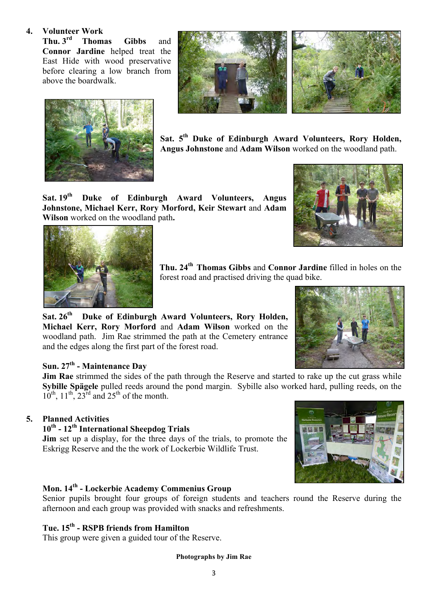#### **4. Volunteer Work**

**Thu. 3rd Thomas Gibbs** and **Connor Jardine** helped treat the East Hide with wood preservative before clearing a low branch from above the boardwalk.





**Sat. 5th Duke of Edinburgh Award Volunteers, Rory Holden, Angus Johnstone** and **Adam Wilson** worked on the woodland path.

**Sat. 19th Duke of Edinburgh Award Volunteers, Angus Johnstone, Michael Kerr, Rory Morford, Keir Stewart** and **Adam Wilson** worked on the woodland path**.**





**Thu. 24th Thomas Gibbs** and **Connor Jardine** filled in holes on the forest road and practised driving the quad bike.

**Sat. 26th Duke of Edinburgh Award Volunteers, Rory Holden, Michael Kerr, Rory Morford** and **Adam Wilson** worked on the woodland path. Jim Rae strimmed the path at the Cemetery entrance and the edges along the first part of the forest road.

#### **Sun. 27th - Maintenance Day**

**Jim Rae** strimmed the sides of the path through the Reserve and started to rake up the cut grass while **Sybille Spägele** pulled reeds around the pond margin. Sybille also worked hard, pulling reeds, on the  $10^{th}$ ,  $11^{th}$ ,  $23^{rd}$  and  $25^{th}$  of the month.

#### **5. Planned Activities**

#### **10th - 12th International Sheepdog Trials**

**Jim** set up a display, for the three days of the trials, to promote the Eskrigg Reserve and the the work of Lockerbie Wildlife Trust.

#### **Mon. 14th - Lockerbie Academy Commenius Group**

Senior pupils brought four groups of foreign students and teachers round the Reserve during the afternoon and each group was provided with snacks and refreshments.

#### **Tue. 15th - RSPB friends from Hamilton**

This group were given a guided tour of the Reserve.

#### **Photographs by Jim Rae**